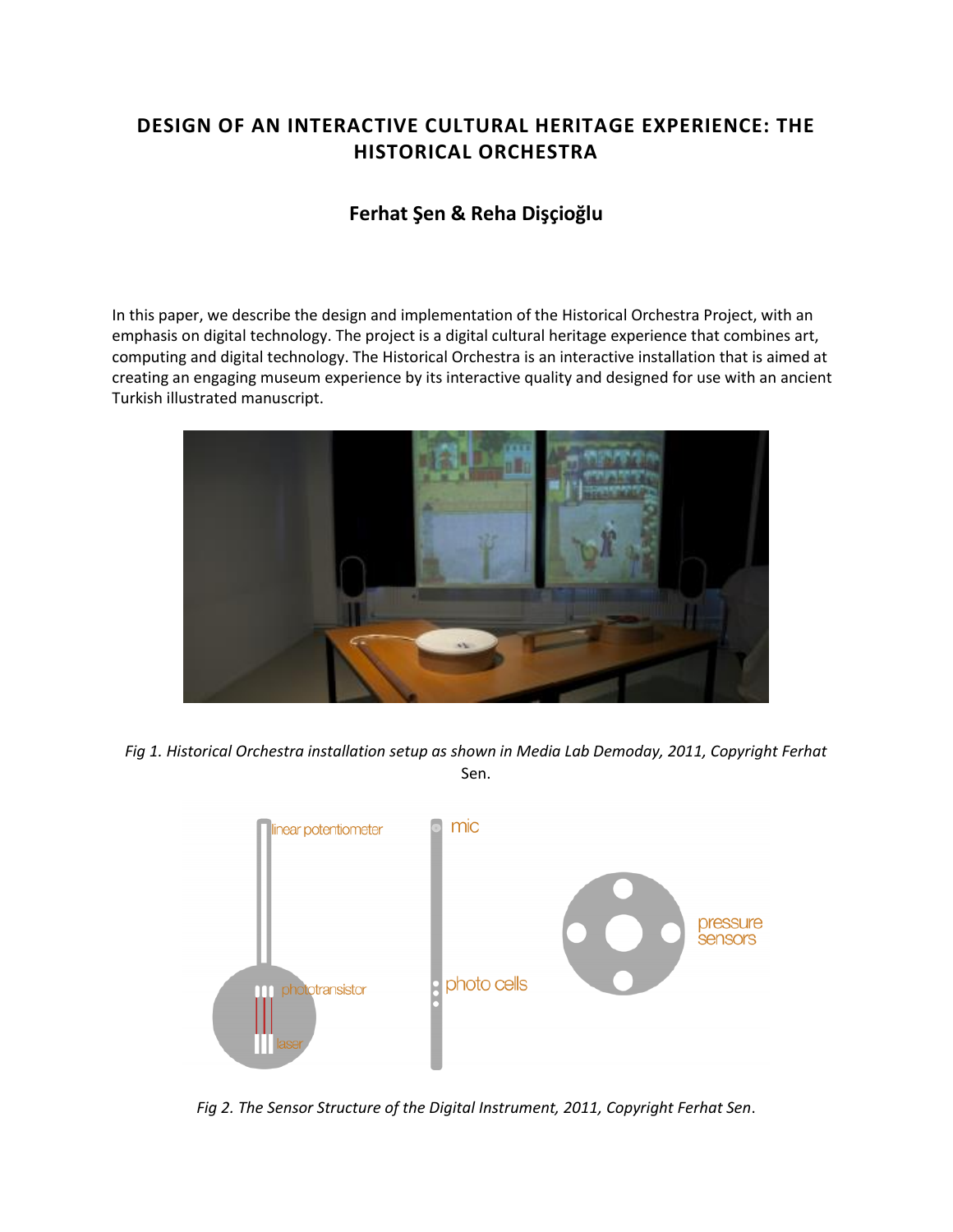# **DESIGN OF AN INTERACTIVE CULTURAL HERITAGE EXPERIENCE: THE HISTORICAL ORCHESTRA**

# **Ferhat Şen & Reha Dişçioğlu**

In this paper, we describe the design and implementation of the Historical Orchestra Project, with an emphasis on digital technology. The project is a digital cultural heritage experience that combines art, computing and digital technology. The Historical Orchestra is an interactive installation that is aimed at creating an engaging museum experience by its interactive quality and designed for use with an ancient Turkish illustrated manuscript.



*Fig 1. Historical Orchestra installation setup as shown in Media Lab Demoday, 2011, Copyright Ferhat* Sen.



*Fig 2. The Sensor Structure of the Digital Instrument, 2011, Copyright Ferhat Sen*.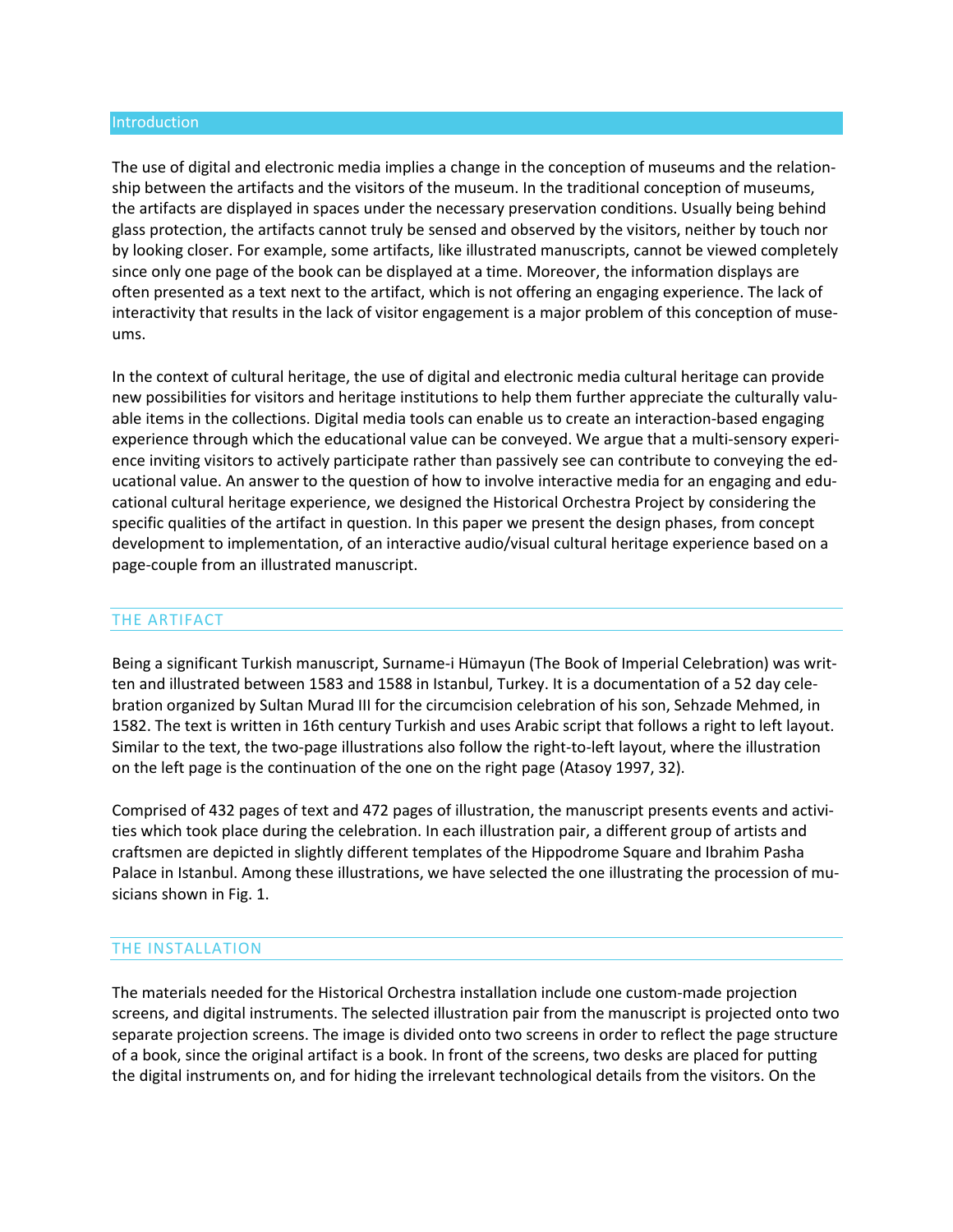#### Introduction

The use of digital and electronic media implies a change in the conception of museums and the relationship between the artifacts and the visitors of the museum. In the traditional conception of museums, the artifacts are displayed in spaces under the necessary preservation conditions. Usually being behind glass protection, the artifacts cannot truly be sensed and observed by the visitors, neither by touch nor by looking closer. For example, some artifacts, like illustrated manuscripts, cannot be viewed completely since only one page of the book can be displayed at a time. Moreover, the information displays are often presented as a text next to the artifact, which is not offering an engaging experience. The lack of interactivity that results in the lack of visitor engagement is a major problem of this conception of museums.

In the context of cultural heritage, the use of digital and electronic media cultural heritage can provide new possibilities for visitors and heritage institutions to help them further appreciate the culturally valuable items in the collections. Digital media tools can enable us to create an interaction-based engaging experience through which the educational value can be conveyed. We argue that a multi-sensory experience inviting visitors to actively participate rather than passively see can contribute to conveying the educational value. An answer to the question of how to involve interactive media for an engaging and educational cultural heritage experience, we designed the Historical Orchestra Project by considering the specific qualities of the artifact in question. In this paper we present the design phases, from concept development to implementation, of an interactive audio/visual cultural heritage experience based on a page-couple from an illustrated manuscript.

## THE ARTIFACT

Being a significant Turkish manuscript, Surname-i Hümayun (The Book of Imperial Celebration) was written and illustrated between 1583 and 1588 in Istanbul, Turkey. It is a documentation of a 52 day celebration organized by Sultan Murad III for the circumcision celebration of his son, Sehzade Mehmed, in 1582. The text is written in 16th century Turkish and uses Arabic script that follows a right to left layout. Similar to the text, the two-page illustrations also follow the right-to-left layout, where the illustration on the left page is the continuation of the one on the right page (Atasoy 1997, 32).

Comprised of 432 pages of text and 472 pages of illustration, the manuscript presents events and activities which took place during the celebration. In each illustration pair, a different group of artists and craftsmen are depicted in slightly different templates of the Hippodrome Square and Ibrahim Pasha Palace in Istanbul. Among these illustrations, we have selected the one illustrating the procession of musicians shown in Fig. 1.

## THE INSTALLATION

The materials needed for the Historical Orchestra installation include one custom-made projection screens, and digital instruments. The selected illustration pair from the manuscript is projected onto two separate projection screens. The image is divided onto two screens in order to reflect the page structure of a book, since the original artifact is a book. In front of the screens, two desks are placed for putting the digital instruments on, and for hiding the irrelevant technological details from the visitors. On the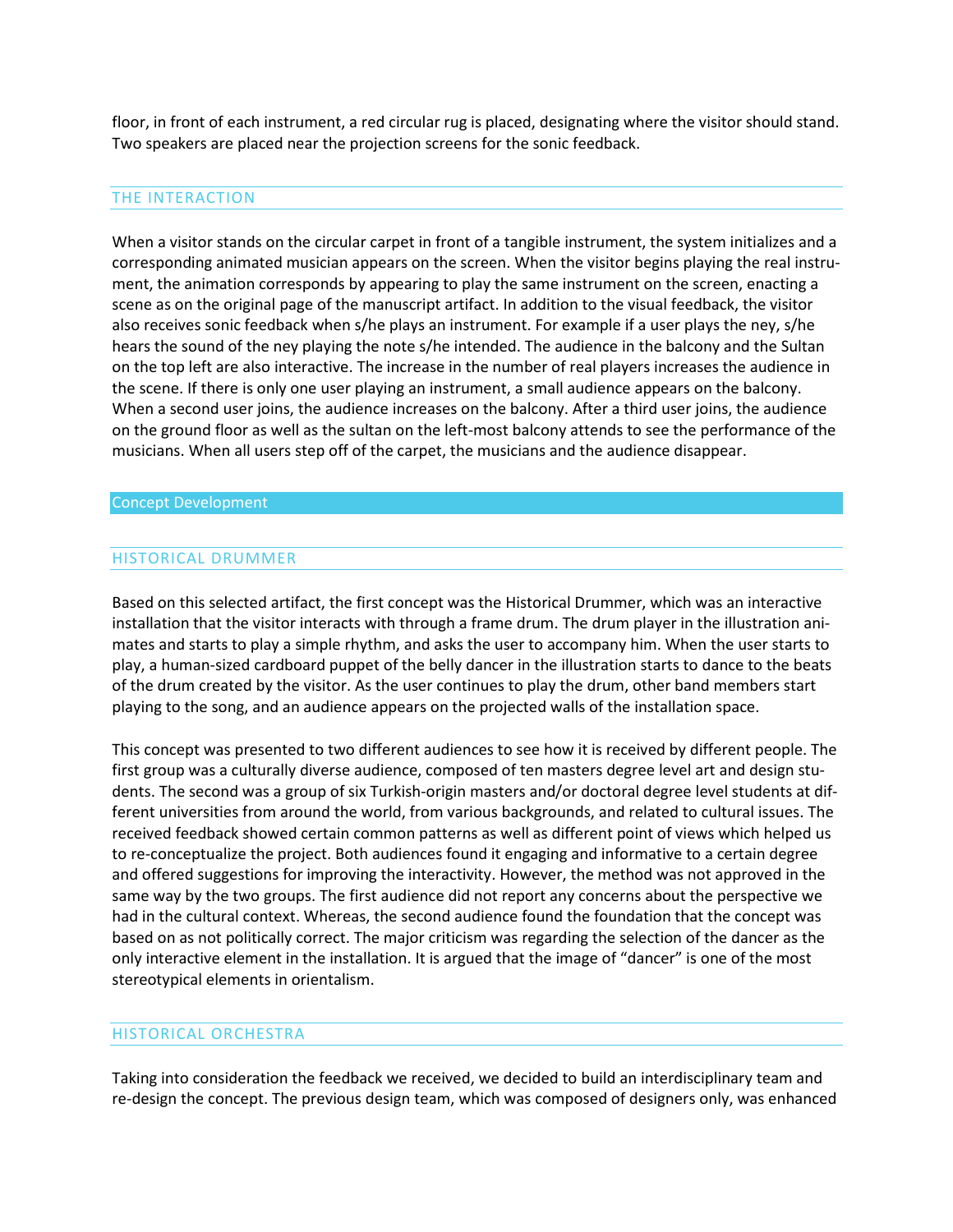floor, in front of each instrument, a red circular rug is placed, designating where the visitor should stand. Two speakers are placed near the projection screens for the sonic feedback.

## THE INTERACTION

When a visitor stands on the circular carpet in front of a tangible instrument, the system initializes and a corresponding animated musician appears on the screen. When the visitor begins playing the real instrument, the animation corresponds by appearing to play the same instrument on the screen, enacting a scene as on the original page of the manuscript artifact. In addition to the visual feedback, the visitor also receives sonic feedback when s/he plays an instrument. For example if a user plays the ney, s/he hears the sound of the ney playing the note s/he intended. The audience in the balcony and the Sultan on the top left are also interactive. The increase in the number of real players increases the audience in the scene. If there is only one user playing an instrument, a small audience appears on the balcony. When a second user joins, the audience increases on the balcony. After a third user joins, the audience on the ground floor as well as the sultan on the left-most balcony attends to see the performance of the musicians. When all users step off of the carpet, the musicians and the audience disappear.

### Concept Development

## HISTORICAL DRUMMER

Based on this selected artifact, the first concept was the Historical Drummer, which was an interactive installation that the visitor interacts with through a frame drum. The drum player in the illustration animates and starts to play a simple rhythm, and asks the user to accompany him. When the user starts to play, a human-sized cardboard puppet of the belly dancer in the illustration starts to dance to the beats of the drum created by the visitor. As the user continues to play the drum, other band members start playing to the song, and an audience appears on the projected walls of the installation space.

This concept was presented to two different audiences to see how it is received by different people. The first group was a culturally diverse audience, composed of ten masters degree level art and design students. The second was a group of six Turkish-origin masters and/or doctoral degree level students at different universities from around the world, from various backgrounds, and related to cultural issues. The received feedback showed certain common patterns as well as different point of views which helped us to re-conceptualize the project. Both audiences found it engaging and informative to a certain degree and offered suggestions for improving the interactivity. However, the method was not approved in the same way by the two groups. The first audience did not report any concerns about the perspective we had in the cultural context. Whereas, the second audience found the foundation that the concept was based on as not politically correct. The major criticism was regarding the selection of the dancer as the only interactive element in the installation. It is argued that the image of "dancer" is one of the most stereotypical elements in orientalism.

## HISTORICAL ORCHESTRA

Taking into consideration the feedback we received, we decided to build an interdisciplinary team and re-design the concept. The previous design team, which was composed of designers only, was enhanced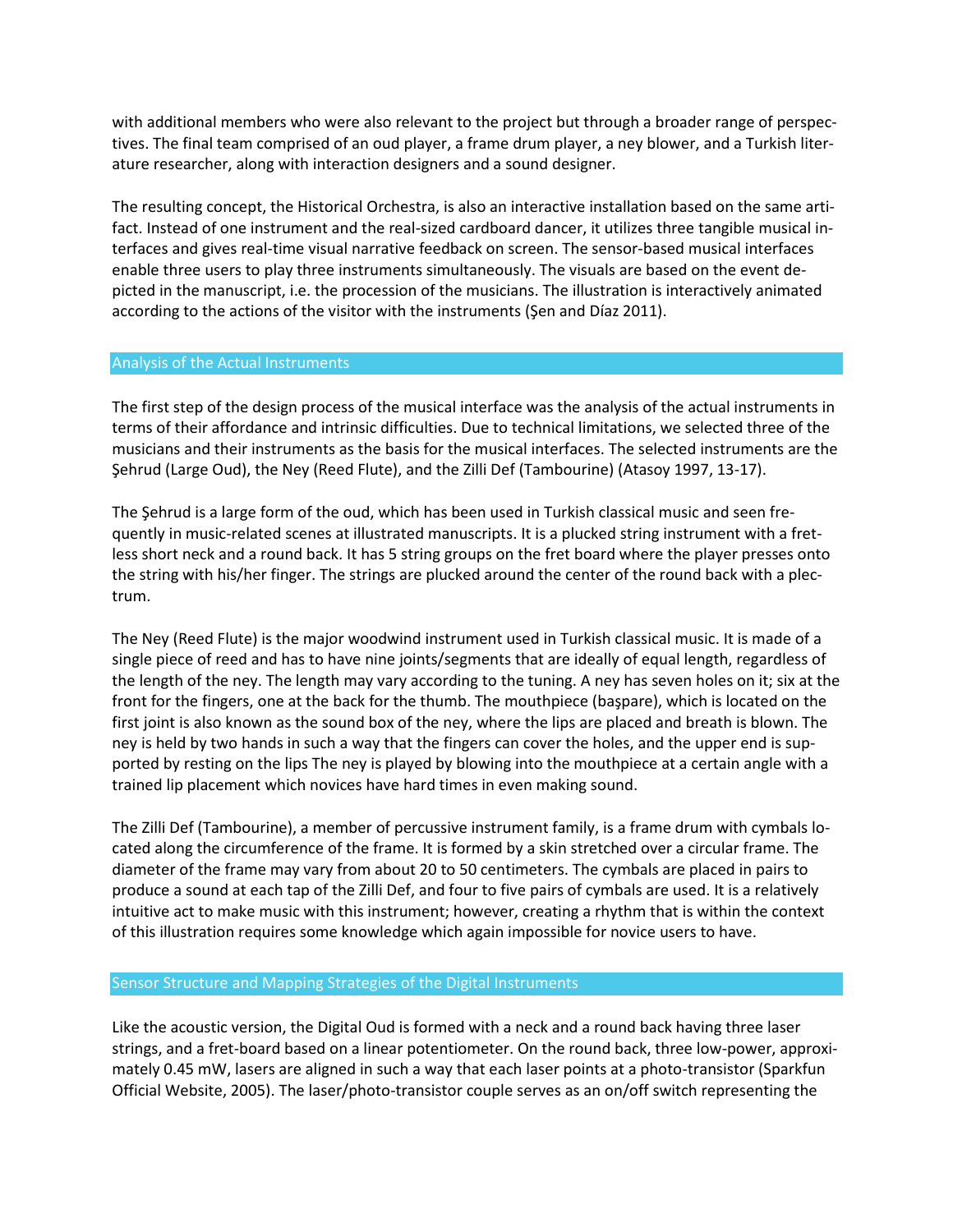with additional members who were also relevant to the project but through a broader range of perspectives. The final team comprised of an oud player, a frame drum player, a ney blower, and a Turkish literature researcher, along with interaction designers and a sound designer.

The resulting concept, the Historical Orchestra, is also an interactive installation based on the same artifact. Instead of one instrument and the real-sized cardboard dancer, it utilizes three tangible musical interfaces and gives real-time visual narrative feedback on screen. The sensor-based musical interfaces enable three users to play three instruments simultaneously. The visuals are based on the event depicted in the manuscript, i.e. the procession of the musicians. The illustration is interactively animated according to the actions of the visitor with the instruments (Şen and Díaz 2011).

### Analysis of the Actual Instruments

The first step of the design process of the musical interface was the analysis of the actual instruments in terms of their affordance and intrinsic difficulties. Due to technical limitations, we selected three of the musicians and their instruments as the basis for the musical interfaces. The selected instruments are the Şehrud (Large Oud), the Ney (Reed Flute), and the Zilli Def (Tambourine) (Atasoy 1997, 13-17).

The Şehrud is a large form of the oud, which has been used in Turkish classical music and seen frequently in music-related scenes at illustrated manuscripts. It is a plucked string instrument with a fretless short neck and a round back. It has 5 string groups on the fret board where the player presses onto the string with his/her finger. The strings are plucked around the center of the round back with a plectrum.

The Ney (Reed Flute) is the major woodwind instrument used in Turkish classical music. It is made of a single piece of reed and has to have nine joints/segments that are ideally of equal length, regardless of the length of the ney. The length may vary according to the tuning. A ney has seven holes on it; six at the front for the fingers, one at the back for the thumb. The mouthpiece (başpare), which is located on the first joint is also known as the sound box of the ney, where the lips are placed and breath is blown. The ney is held by two hands in such a way that the fingers can cover the holes, and the upper end is supported by resting on the lips The ney is played by blowing into the mouthpiece at a certain angle with a trained lip placement which novices have hard times in even making sound.

The Zilli Def (Tambourine), a member of percussive instrument family, is a frame drum with cymbals located along the circumference of the frame. It is formed by a skin stretched over a circular frame. The diameter of the frame may vary from about 20 to 50 centimeters. The cymbals are placed in pairs to produce a sound at each tap of the Zilli Def, and four to five pairs of cymbals are used. It is a relatively intuitive act to make music with this instrument; however, creating a rhythm that is within the context of this illustration requires some knowledge which again impossible for novice users to have.

### Sensor Structure and Mapping Strategies of the Digital Instruments

Like the acoustic version, the Digital Oud is formed with a neck and a round back having three laser strings, and a fret-board based on a linear potentiometer. On the round back, three low-power, approximately 0.45 mW, lasers are aligned in such a way that each laser points at a photo-transistor (Sparkfun Official Website, 2005). The laser/photo-transistor couple serves as an on/off switch representing the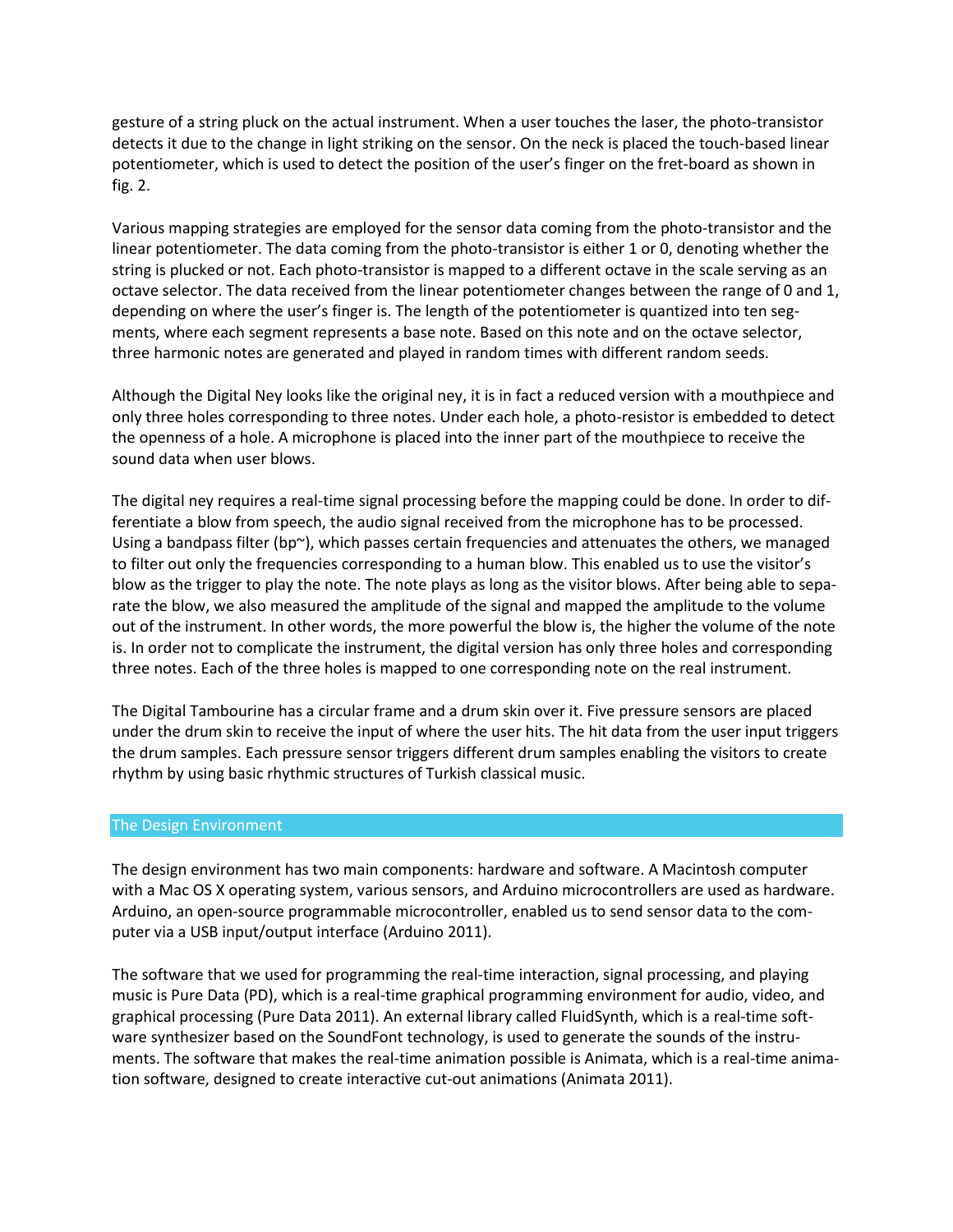gesture of a string pluck on the actual instrument. When a user touches the laser, the photo-transistor detects it due to the change in light striking on the sensor. On the neck is placed the touch-based linear potentiometer, which is used to detect the position of the user's finger on the fret-board as shown in fig. 2.

Various mapping strategies are employed for the sensor data coming from the photo-transistor and the linear potentiometer. The data coming from the photo-transistor is either 1 or 0, denoting whether the string is plucked or not. Each photo-transistor is mapped to a different octave in the scale serving as an octave selector. The data received from the linear potentiometer changes between the range of 0 and 1, depending on where the user's finger is. The length of the potentiometer is quantized into ten segments, where each segment represents a base note. Based on this note and on the octave selector, three harmonic notes are generated and played in random times with different random seeds.

Although the Digital Ney looks like the original ney, it is in fact a reduced version with a mouthpiece and only three holes corresponding to three notes. Under each hole, a photo-resistor is embedded to detect the openness of a hole. A microphone is placed into the inner part of the mouthpiece to receive the sound data when user blows.

The digital ney requires a real-time signal processing before the mapping could be done. In order to differentiate a blow from speech, the audio signal received from the microphone has to be processed. Using a bandpass filter (bp $\gamma$ ), which passes certain frequencies and attenuates the others, we managed to filter out only the frequencies corresponding to a human blow. This enabled us to use the visitor's blow as the trigger to play the note. The note plays as long as the visitor blows. After being able to separate the blow, we also measured the amplitude of the signal and mapped the amplitude to the volume out of the instrument. In other words, the more powerful the blow is, the higher the volume of the note is. In order not to complicate the instrument, the digital version has only three holes and corresponding three notes. Each of the three holes is mapped to one corresponding note on the real instrument.

The Digital Tambourine has a circular frame and a drum skin over it. Five pressure sensors are placed under the drum skin to receive the input of where the user hits. The hit data from the user input triggers the drum samples. Each pressure sensor triggers different drum samples enabling the visitors to create rhythm by using basic rhythmic structures of Turkish classical music.

#### The Design Environment

The design environment has two main components: hardware and software. A Macintosh computer with a Mac OS X operating system, various sensors, and Arduino microcontrollers are used as hardware. Arduino, an open-source programmable microcontroller, enabled us to send sensor data to the computer via a USB input/output interface (Arduino 2011).

The software that we used for programming the real-time interaction, signal processing, and playing music is Pure Data (PD), which is a real-time graphical programming environment for audio, video, and graphical processing (Pure Data 2011). An external library called FluidSynth, which is a real-time software synthesizer based on the SoundFont technology, is used to generate the sounds of the instruments. The software that makes the real-time animation possible is Animata, which is a real-time animation software, designed to create interactive cut-out animations (Animata 2011).